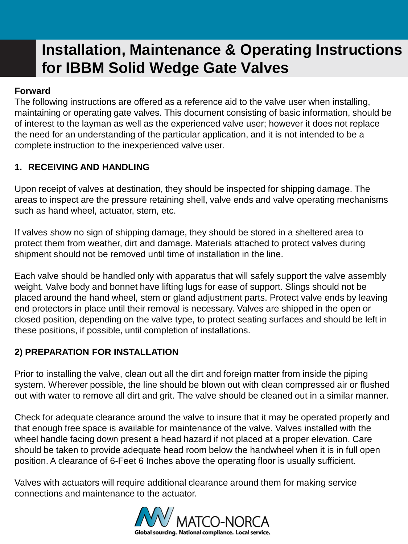#### **Forward**

The following instructions are offered as a reference aid to the valve user when installing, maintaining or operating gate valves. This document consisting of basic information, should be of interest to the layman as well as the experienced valve user; however it does not replace the need for an understanding of the particular application, and it is not intended to be a complete instruction to the inexperienced valve user.

### **1. RECEIVING AND HANDLING**

Upon receipt of valves at destination, they should be inspected for shipping damage. The areas to inspect are the pressure retaining shell, valve ends and valve operating mechanisms such as hand wheel, actuator, stem, etc.

If valves show no sign of shipping damage, they should be stored in a sheltered area to protect them from weather, dirt and damage. Materials attached to protect valves during shipment should not be removed until time of installation in the line.

Each valve should be handled only with apparatus that will safely support the valve assembly weight. Valve body and bonnet have lifting lugs for ease of support. Slings should not be placed around the hand wheel, stem or gland adjustment parts. Protect valve ends by leaving end protectors in place until their removal is necessary. Valves are shipped in the open or closed position, depending on the valve type, to protect seating surfaces and should be left in these positions, if possible, until completion of installations.

#### **2) PREPARATION FOR INSTALLATION**

Prior to installing the valve, clean out all the dirt and foreign matter from inside the piping system. Wherever possible, the line should be blown out with clean compressed air or flushed out with water to remove all dirt and grit. The valve should be cleaned out in a similar manner.

Check for adequate clearance around the valve to insure that it may be operated properly and that enough free space is available for maintenance of the valve. Valves installed with the wheel handle facing down present a head hazard if not placed at a proper elevation. Care should be taken to provide adequate head room below the handwheel when it is in full open position. A clearance of 6-Feet 6 Inches above the operating floor is usually sufficient.

Valves with actuators will require additional clearance around them for making service connections and maintenance to the actuator.

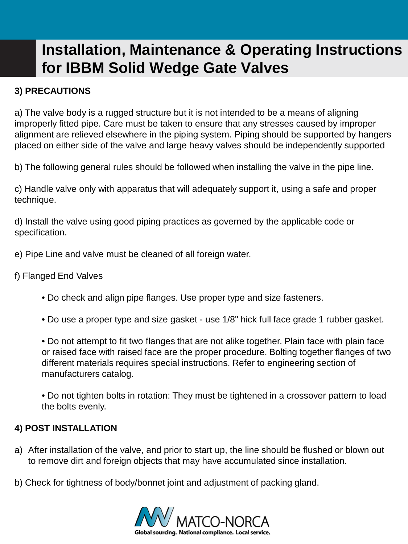### **3) PRECAUTIONS**

a) The valve body is a rugged structure but it is not intended to be a means of aligning improperly fitted pipe. Care must be taken to ensure that any stresses caused by improper alignment are relieved elsewhere in the piping system. Piping should be supported by hangers placed on either side of the valve and large heavy valves should be independently supported

b) The following general rules should be followed when installing the valve in the pipe line.

c) Handle valve only with apparatus that will adequately support it, using a safe and proper technique.

d) Install the valve using good piping practices as governed by the applicable code or specification.

e) Pipe Line and valve must be cleaned of all foreign water.

f) Flanged End Valves

- Do check and align pipe flanges. Use proper type and size fasteners.
- Do use a proper type and size gasket use 1/8" hick full face grade 1 rubber gasket.

• Do not attempt to fit two flanges that are not alike together. Plain face with plain face or raised face with raised face are the proper procedure. Bolting together flanges of two different materials requires special instructions. Refer to engineering section of manufacturers catalog.

• Do not tighten bolts in rotation: They must be tightened in a crossover pattern to load the bolts evenly.

#### **4) POST INSTALLATION**

- a) After installation of the valve, and prior to start up, the line should be flushed or blown out to remove dirt and foreign objects that may have accumulated since installation.
- b) Check for tightness of body/bonnet joint and adjustment of packing gland.

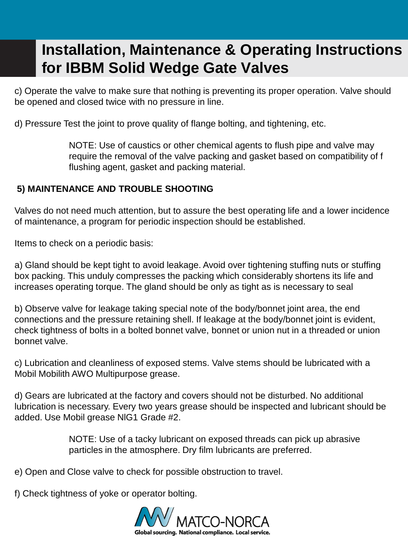c) Operate the valve to make sure that nothing is preventing its proper operation. Valve should be opened and closed twice with no pressure in line.

d) Pressure Test the joint to prove quality of flange bolting, and tightening, etc.

NOTE: Use of caustics or other chemical agents to flush pipe and valve may require the removal of the valve packing and gasket based on compatibility of f flushing agent, gasket and packing material.

#### **5) MAINTENANCE AND TROUBLE SHOOTING**

Valves do not need much attention, but to assure the best operating life and a lower incidence of maintenance, a program for periodic inspection should be established.

Items to check on a periodic basis:

a) Gland should be kept tight to avoid leakage. Avoid over tightening stuffing nuts or stuffing box packing. This unduly compresses the packing which considerably shortens its life and increases operating torque. The gland should be only as tight as is necessary to seal

b) Observe valve for leakage taking special note of the body/bonnet joint area, the end connections and the pressure retaining shell. If leakage at the body/bonnet joint is evident, check tightness of bolts in a bolted bonnet valve, bonnet or union nut in a threaded or union bonnet valve.

c) Lubrication and cleanliness of exposed stems. Valve stems should be lubricated with a Mobil Mobilith AWO Multipurpose grease.

d) Gears are lubricated at the factory and covers should not be disturbed. No additional lubrication is necessary. Every two years grease should be inspected and lubricant should be added. Use Mobil grease NlG1 Grade #2.

> NOTE: Use of a tacky lubricant on exposed threads can pick up abrasive particles in the atmosphere. Dry film lubricants are preferred.

e) Open and Close valve to check for possible obstruction to travel.

f) Check tightness of yoke or operator bolting.

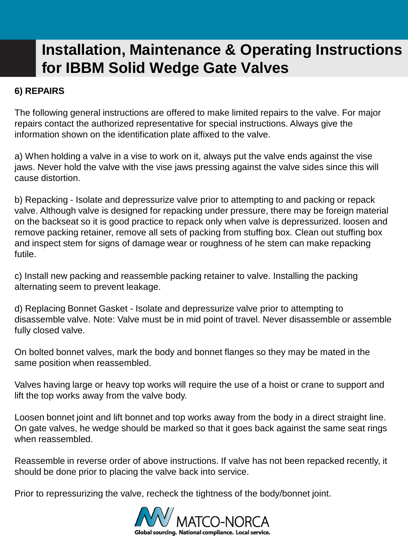### **6) REPAIRS**

The following general instructions are offered to make limited repairs to the valve. For major repairs contact the authorized representative for special instructions. Always give the information shown on the identification plate affixed to the valve.

a) When holding a valve in a vise to work on it, always put the valve ends against the vise jaws. Never hold the valve with the vise jaws pressing against the valve sides since this will cause distortion.

b) Repacking - Isolate and depressurize valve prior to attempting to and packing or repack valve. Although valve is designed for repacking under pressure, there may be foreign material on the backseat so it is good practice to repack only when valve is depressurized. loosen and remove packing retainer, remove all sets of packing from stuffing box. Clean out stuffing box and inspect stem for signs of damage wear or roughness of he stem can make repacking futile.

c) Install new packing and reassemble packing retainer to valve. Installing the packing alternating seem to prevent leakage.

d) Replacing Bonnet Gasket - Isolate and depressurize valve prior to attempting to disassemble valve. Note: Valve must be in mid point of travel. Never disassemble or assemble fully closed valve.

On bolted bonnet valves, mark the body and bonnet flanges so they may be mated in the same position when reassembled.

Valves having large or heavy top works will require the use of a hoist or crane to support and lift the top works away from the valve body.

Loosen bonnet joint and lift bonnet and top works away from the body in a direct straight line. On gate valves, he wedge should be marked so that it goes back against the same seat rings when reassembled.

Reassemble in reverse order of above instructions. If valve has not been repacked recently, it should be done prior to placing the valve back into service.

Prior to repressurizing the valve, recheck the tightness of the body/bonnet joint.